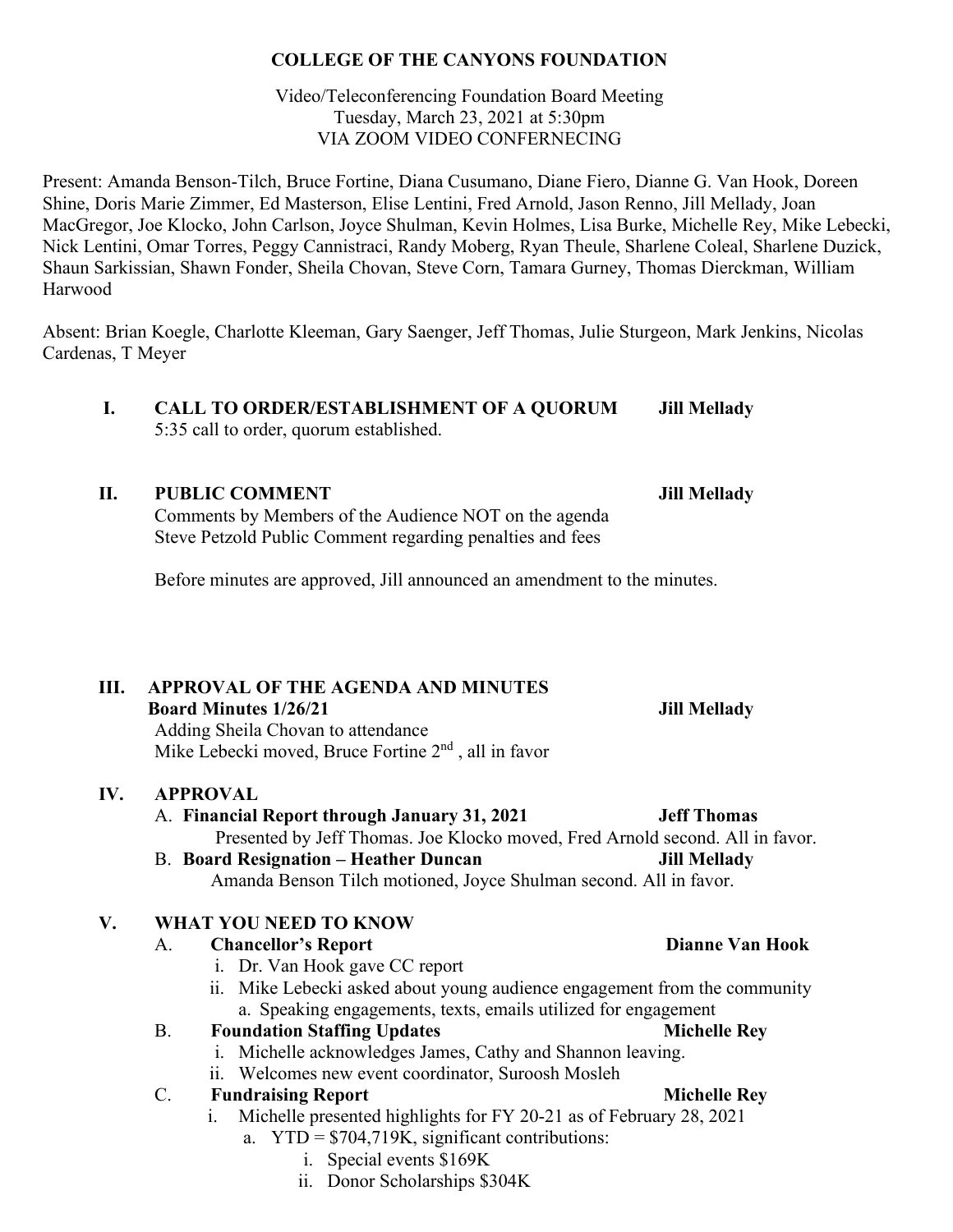#### **COLLEGE OF THE CANYONS FOUNDATION**

#### Video/Teleconferencing Foundation Board Meeting Tuesday, March 23, 2021 at 5:30pm VIA ZOOM VIDEO CONFERNECING

Present: Amanda Benson-Tilch, Bruce Fortine, Diana Cusumano, Diane Fiero, Dianne G. Van Hook, Doreen Shine, Doris Marie Zimmer, Ed Masterson, Elise Lentini, Fred Arnold, Jason Renno, Jill Mellady, Joan MacGregor, Joe Klocko, John Carlson, Joyce Shulman, Kevin Holmes, Lisa Burke, Michelle Rey, Mike Lebecki, Nick Lentini, Omar Torres, Peggy Cannistraci, Randy Moberg, Ryan Theule, Sharlene Coleal, Sharlene Duzick, Shaun Sarkissian, Shawn Fonder, Sheila Chovan, Steve Corn, Tamara Gurney, Thomas Dierckman, William Harwood

Absent: Brian Koegle, Charlotte Kleeman, Gary Saenger, Jeff Thomas, Julie Sturgeon, Mark Jenkins, Nicolas Cardenas, T Meyer

 **I. CALL TO ORDER/ESTABLISHMENT OF A QUORUM Jill Mellady** 5:35 call to order, quorum established.

#### **II. PUBLIC COMMENT Jill Mellady**

Comments by Members of the Audience NOT on the agenda Steve Petzold Public Comment regarding penalties and fees

Before minutes are approved, Jill announced an amendment to the minutes.

### **III. APPROVAL OF THE AGENDA AND MINUTES**

**Board Minutes 1/26/21 Jill Mellady**

Adding Sheila Chovan to attendance Mike Lebecki moved, Bruce Fortine 2<sup>nd</sup>, all in favor

### **IV. APPROVAL**

### A. **Financial Report through January 31, 2021 Jeff Thomas**

Presented by Jeff Thomas. Joe Klocko moved, Fred Arnold second. All in favor.

B. **Board Resignation – Heather Duncan Jill Mellady** Amanda Benson Tilch motioned, Joyce Shulman second. All in favor.

### **V. WHAT YOU NEED TO KNOW**

### A. **Chancellor's Report Dianne Van Hook**

- i. Dr. Van Hook gave CC report
- ii. Mike Lebecki asked about young audience engagement from the community a. Speaking engagements, texts, emails utilized for engagement

### B. **Foundation Staffing Updates Michelle Rey**

- i. Michelle acknowledges James, Cathy and Shannon leaving.
- ii. Welcomes new event coordinator, Suroosh Mosleh

### C. **Fundraising Report Michelle Rey**

- Michelle presented highlights for FY 20-21 as of February 28, 2021
	- a. YTD = \$704,719K, significant contributions:
		- i. Special events \$169K
		- ii. Donor Scholarships \$304K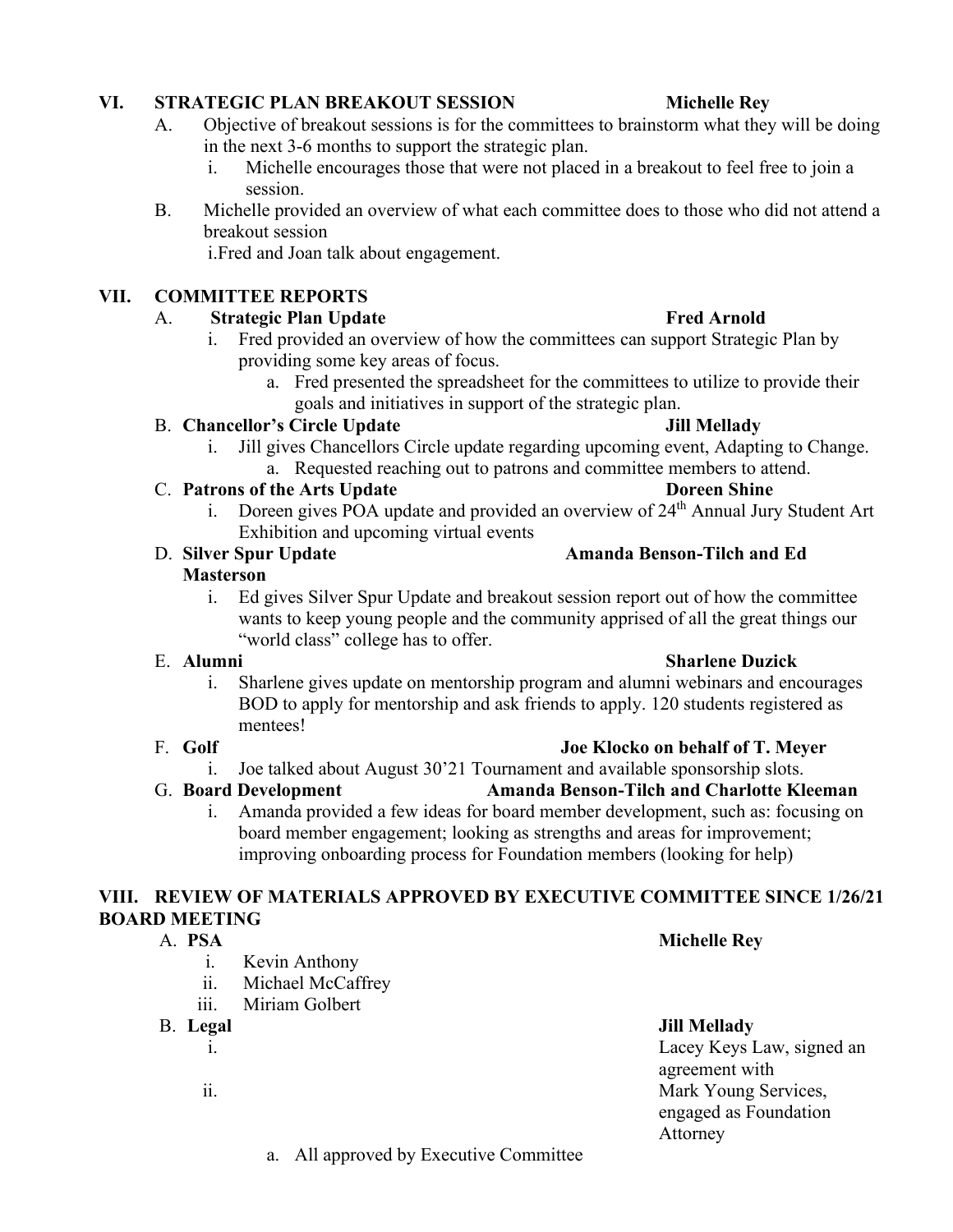BOD to apply for mentorship and ask friends to apply. 120 students registered as mentees!

board member engagement; looking as strengths and areas for improvement; improving onboarding process for Foundation members (looking for help)

### **VIII. REVIEW OF MATERIALS APPROVED BY EXECUTIVE COMMITTEE SINCE 1/26/21 BOARD MEETING**

- - i. Kevin Anthony
	- ii. Michael McCaffrey
	- iii. Miriam Golbert
- B. **Legal Jill Mellady**
	-

- **VI. STRATEGIC PLAN BREAKOUT SESSION Michelle Rey**
	- A. Objective of breakout sessions is for the committees to brainstorm what they will be doing in the next 3-6 months to support the strategic plan.
		- i. Michelle encourages those that were not placed in a breakout to feel free to join a session.
	- B. Michelle provided an overview of what each committee does to those who did not attend a breakout session

i.Fred and Joan talk about engagement.

## **VII. COMMITTEE REPORTS**

- A. **Strategic Plan Update Fred Arnold** i. Fred provided an overview of how the committees can support Strategic Plan by providing some key areas of focus.
	- a. Fred presented the spreadsheet for the committees to utilize to provide their goals and initiatives in support of the strategic plan.

#### B. **Chancellor's Circle Update Jill Mellady**

- i. Jill gives Chancellors Circle update regarding upcoming event, Adapting to Change. a. Requested reaching out to patrons and committee members to attend.
- C. **Patrons of the Arts Update Doreen Shine**
	- i. Doreen gives POA update and provided an overview of 24<sup>th</sup> Annual Jury Student Art Exhibition and upcoming virtual events

#### D. **Silver Spur Update Amanda Benson-Tilch and Ed Masterson**

i. Ed gives Silver Spur Update and breakout session report out of how the committee wants to keep young people and the community apprised of all the great things our "world class" college has to offer.

#### E. **Alumni Sharlene Duzick**

i. Sharlene gives update on mentorship program and alumni webinars and encourages

#### F. **Golf Joe Klocko on behalf of T. Meyer**

i. Joe talked about August 30'21 Tournament and available sponsorship slots.

#### G. **Board Development Amanda Benson-Tilch and Charlotte Kleeman**

# i. Amanda provided a few ideas for board member development, such as: focusing on

## A. **PSA Michelle Rey**

i. Lacey Keys Law, signed an agreement with ii. Mark Young Services, engaged as Foundation Attorney

### a. All approved by Executive Committee